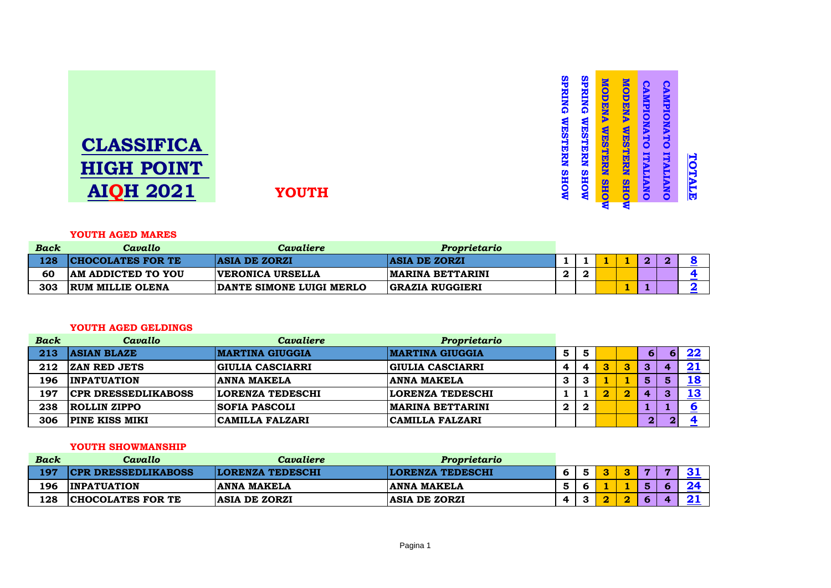| <b>CLASSIFICA</b> |  |
|-------------------|--|
| <b>HIGH POINT</b> |  |
| AIOH 2021         |  |

**AIQH 2021 YOUTH**

### **YOUTH AGED MARES**

| <b>Back</b> | Cavallo                   | Cavaliere                | Proprietario             |   |  |    |  |
|-------------|---------------------------|--------------------------|--------------------------|---|--|----|--|
| 128         | <b>CHOCOLATES FOR TE</b>  | <b>ASIA DE ZORZI</b>     | <b>ASIA DE ZORZI</b>     |   |  | O. |  |
| 60          | <b>AM ADDICTED TO YOU</b> | <b>VERONICA URSELLA</b>  | <b>IMARINA BETTARINI</b> | C |  |    |  |
| 303         | <b>RUM MILLIE OLENA</b>   | DANTE SIMONE LUIGI MERLO | <b>GRAZIA RUGGIERI</b>   |   |  |    |  |

**SPRING WESTERN SHOW** 

**SPRING WESTERN SHOW** 

**SPRING WESTERN SHOW** 

**SPRING WESTERN SHOW** 

**MODENA WESTERN SHOW**

**MODENA WESTERN SHOW** 

**MODENA WESTERN SHOW**

**MODENA WESTERN SHOW** 

**CAMPIONATO ITALIANO**

CAMPIONATO ITALIANO

**CAMPIONATO ITALIANO**

CAMPIONATO ITALIANO

**TOTALE**

TOTALE

### **YOUTH AGED GELDINGS**

| <b>Back</b> | Cavallo                    | Cavaliere               | Proprietario             |   |   |   |          |   |    |
|-------------|----------------------------|-------------------------|--------------------------|---|---|---|----------|---|----|
| 213         | <b>ASIAN BLAZE</b>         | <b>MARTINA GIUGGIA</b>  | <b>MARTINA GIUGGIA</b>   | 5 | 5 |   | 6        |   | 22 |
| 212         | <b>ZAN RED JETS</b>        | <b>GIULIA CASCIARRI</b> | <b>GIULIA CASCIARRI</b>  |   | 4 | 3 | 3        |   | 21 |
| 196         | <b>INPATUATION</b>         | <b>ANNA MAKELA</b>      | <b>ANNA MAKELA</b>       | 3 | З |   | 5        |   | 18 |
| 197         | <b>CPR DRESSEDLIKABOSS</b> | <b>LORENZA TEDESCHI</b> | <b>LORENZA TEDESCHI</b>  |   |   | 2 | 4        | 3 | 13 |
| 238         | <b>ROLLIN ZIPPO</b>        | <b>SOFIA PASCOLI</b>    | <b>IMARINA BETTARINI</b> | 2 | 2 |   |          |   |    |
| 306         | <b>PINE KISS MIKI</b>      | <b>CAMILLA FALZARI</b>  | CAMILLA FALZARI          |   |   |   | $\bf{2}$ | റ |    |

## **YOUTH SHOWMANSHIP**

| Back | Cavallo                    | Cavaliere               | Proprietario            |  |  |              |  |
|------|----------------------------|-------------------------|-------------------------|--|--|--------------|--|
| 197  | <b>CPR DRESSEDLIKABOSS</b> | <b>LORENZA TEDESCHI</b> | <b>LORENZA TEDESCHI</b> |  |  | $\mathbf{r}$ |  |
| 196  | <b>INPATUATION</b>         | <b>ANNA MAKELA</b>      | <b>ANNA MAKELA</b>      |  |  |              |  |
| 128  | <b>CHOCOLATES FOR TE</b>   | <b>ASIA DE ZORZI</b>    | <b>ASIA DE ZORZI</b>    |  |  |              |  |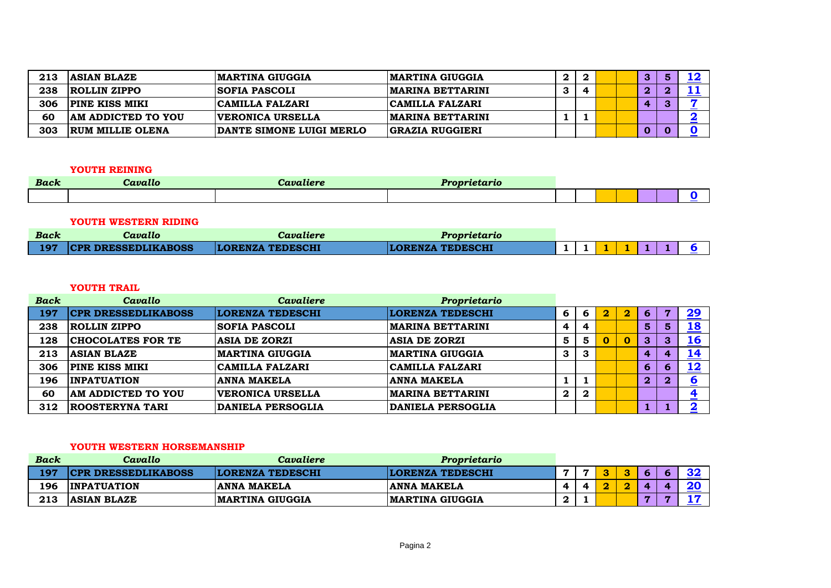| 213 | <b>ASIAN BLAZE</b>        | 'MARTINA GIUGGIA         | <b>IMARTINA GIUGGIA</b>  |  |  | o |   | 16         |
|-----|---------------------------|--------------------------|--------------------------|--|--|---|---|------------|
| 238 | <b>ROLLIN ZIPPO</b>       | <b>SOFIA PASCOLI</b>     | <b>IMARINA BETTARINI</b> |  |  | n |   |            |
| 306 | <b>PINE KISS MIKI</b>     | CAMILLA FALZARI          | <b>CAMILLA FALZARI</b>   |  |  |   | ട |            |
| 60  | <b>AM ADDICTED TO YOU</b> | <b>VERONICA URSELLA</b>  | <b>IMARINA BETTARINI</b> |  |  |   |   | <u>_ _</u> |
| 303 | <b>RUM MILLIE OLENA</b>   | DANTE SIMONE LUIGI MERLO | <b>GRAZIA RUGGIERI</b>   |  |  | O |   |            |

## **YOUTH REINING**

| <b>Back</b> | Cavallo | Cavaliere | <i>Proprietario</i> |  |  |  |  |
|-------------|---------|-----------|---------------------|--|--|--|--|
|             |         |           |                     |  |  |  |  |

## **YOUTH WESTERN RIDING**

| <b>Back</b> | Cavallo                    | Cavaliere               | Proprietario            |  |  |  |  |
|-------------|----------------------------|-------------------------|-------------------------|--|--|--|--|
| 197         | <b>CPR DRESSEDLIKABOSS</b> | <b>LORENZA TEDESCHI</b> | <b>LORENZA TEDESCHI</b> |  |  |  |  |

## **YOUTH TRAIL**

| <b>Back</b> | Cavallo                    | Cavaliere                | Proprietario             |             |                  |   |             |                         |              |            |
|-------------|----------------------------|--------------------------|--------------------------|-------------|------------------|---|-------------|-------------------------|--------------|------------|
| 197         | <b>CPR DRESSEDLIKABOSS</b> | <b>LORENZA TEDESCHI</b>  | <b>LORENZA TEDESCHI</b>  | 6           | 6                | 2 | 2           | 6                       |              | <u>29</u>  |
| 238         | <b>ROLLIN ZIPPO</b>        | <b>SOFIA PASCOLI</b>     | <b> MARINA BETTARINI</b> | 4           |                  |   |             | 5 <sub>5</sub>          | 5            | <u> 18</u> |
| 128         | <b>CHOCOLATES FOR TE</b>   | <b>ASIA DE ZORZI</b>     | <b>ASIA DE ZORZI</b>     | 5           | 5.               |   | $\mathbf 0$ | 3                       | 3            | <u> 16</u> |
| 213         | <b>ASIAN BLAZE</b>         | <b>MARTINA GIUGGIA</b>   | <b>IMARTINA GIUGGIA</b>  | 3           | 3                |   |             | $\boldsymbol{\Lambda}$  | $\mathbf{a}$ | 14         |
| 306         | <b>PINE KISS MIKI</b>      | <b>CAMILLA FALZARI</b>   | <b>CAMILLA FALZARI</b>   |             |                  |   |             | 6 <sup>1</sup>          | 6            | 12         |
| 196         | <b>INPATUATION</b>         | <b>ANNA MAKELA</b>       | <b>ANNA MAKELA</b>       |             |                  |   |             | $\overline{\mathbf{2}}$ | 2            |            |
| 60          | <b>AM ADDICTED TO YOU</b>  | <b>VERONICA URSELLA</b>  | <b> MARINA BETTARINI</b> | $\mathbf 2$ | $\boldsymbol{2}$ |   |             |                         |              |            |
| 312         | <b>ROOSTERYNA TARI</b>     | <b>DANIELA PERSOGLIA</b> | <b>DANIELA PERSOGLIA</b> |             |                  |   |             |                         |              |            |

## **YOUTH WESTERN HORSEMANSHIP**

| <b>Back</b> | Cavallo                    | Cavaliere               | Proprietario            |  |        |           |  |  |
|-------------|----------------------------|-------------------------|-------------------------|--|--------|-----------|--|--|
| 197         | <b>CPR DRESSEDLIKABOSS</b> | <b>LORENZA TEDESCHI</b> | <b>LORENZA TEDESCHI</b> |  | $\sim$ | $\bullet$ |  |  |
| 196         | <b>INPATUATION</b>         | ANNA MAKELA             | <b>ANNA MAKELA</b>      |  |        |           |  |  |
| 213         | <b>ASIAN BLAZE</b>         | <b> MARTINA GIUGGIA</b> | <b>IMARTINA GIUGGIA</b> |  |        |           |  |  |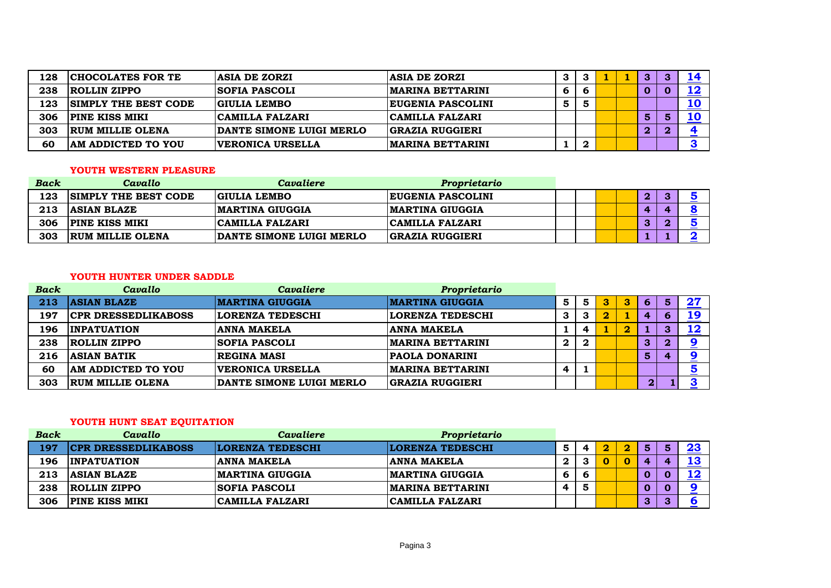| 128 | <b>CHOCOLATES FOR TE</b>    | <b>ASIA DE ZORZI</b>     | <b>ASIA DE ZORZI</b>     | 3 |   |  | З            | 14         |
|-----|-----------------------------|--------------------------|--------------------------|---|---|--|--------------|------------|
| 238 | ROLLIN ZIPPO                | SOFIA PASCOLI            | <b>IMARINA BETTARINI</b> | ь |   |  | O            | 12         |
| 123 | <b>SIMPLY THE BEST CODE</b> | GIULIA LEMBO             | <b>EUGENIA PASCOLINI</b> | 5 |   |  |              | <u> 10</u> |
| 306 | <b>PINE KISS MIKI</b>       | CAMILLA FALZARI          | <b>CAMILLA FALZARI</b>   |   |   |  | 5            | <b>10</b>  |
| 303 | <b>RUM MILLIE OLENA</b>     | DANTE SIMONE LUIGI MERLO | <b>GRAZIA RUGGIERI</b>   |   |   |  | $\mathbf{2}$ |            |
| 60  | <b>AM ADDICTED TO YOU</b>   | <b>VERONICA URSELLA</b>  | <b>MARINA BETTARINI</b>  |   | n |  |              |            |

### **YOUTH WESTERN PLEASURE**

| <b>Back</b> | Cavallo                     | Cavaliere                | Proprietario             |  |  |          |  |
|-------------|-----------------------------|--------------------------|--------------------------|--|--|----------|--|
| 123         | <b>SIMPLY THE BEST CODE</b> | GIULIA LEMBO             | <b>EUGENIA PASCOLINI</b> |  |  | $\bf{2}$ |  |
| 213         | <b>ASIAN BLAZE</b>          | <b>IMARTINA GIUGGIA</b>  | <b>IMARTINA GIUGGIA</b>  |  |  |          |  |
| 306         | <b>PINE KISS MIKI</b>       | <b>CAMILLA FALZARI</b>   | <b>CAMILLA FALZARI</b>   |  |  | 3        |  |
| 303         | <b>RUM MILLIE OLENA</b>     | DANTE SIMONE LUIGI MERLO | <b>GRAZIA RUGGIERI</b>   |  |  |          |  |

## **YOUTH HUNTER UNDER SADDLE**

| <b>Back</b> | Cavallo                    | <b>Cavaliere</b>         | Proprietario             |                  |   |   |                         |           |   |               |
|-------------|----------------------------|--------------------------|--------------------------|------------------|---|---|-------------------------|-----------|---|---------------|
| 213         | <b>ASIAN BLAZE</b>         | <b>MARTINA GIUGGIA</b>   | <b> MARTINA GIUGGIA</b>  | 5                | 5 | З | 3                       | 6         | 5 | $\mathbf{27}$ |
| 197         | <b>CPR DRESSEDLIKABOSS</b> | LORENZA TEDESCHI         | <b>LORENZA TEDESCHI</b>  | 3                | 3 |   |                         | 4         |   | 19            |
| 196         | <b>INPATUATION</b>         | <b>ANNA MAKELA</b>       | <b>ANNA MAKELA</b>       |                  |   |   | $\overline{\mathbf{2}}$ |           | 3 | 12            |
| 238         | <b>ROLLIN ZIPPO</b>        | <b> SOFIA PASCOLI</b>    | <b>IMARINA BETTARINI</b> | $\boldsymbol{2}$ | 2 |   |                         | 3         |   | ⋍             |
| 216         | <b>ASIAN BATIK</b>         | <b>REGINA MASI</b>       | <b>PAOLA DONARINI</b>    |                  |   |   |                         | 5         | 4 |               |
| 60          | AM ADDICTED TO YOU         | <b>VERONICA URSELLA</b>  | <b>IMARINA BETTARINI</b> | 4                |   |   |                         |           |   | 5             |
| 303         | <b>RUM MILLIE OLENA</b>    | DANTE SIMONE LUIGI MERLO | <b>GRAZIA RUGGIERI</b>   |                  |   |   |                         | <b>21</b> |   | 3             |

# **YOUTH HUNT SEAT EQUITATION**

| <b>Back</b> | Cavallo                    | Cavaliere               | Proprietario            |    |   |  |    |   |  |
|-------------|----------------------------|-------------------------|-------------------------|----|---|--|----|---|--|
| 197         | <b>CPR DRESSEDLIKABOSS</b> | <b>LORENZA TEDESCHI</b> | <b>LORENZA TEDESCHI</b> |    | 4 |  | 5  |   |  |
| 196         | <b>INPATUATION</b>         | <b>ANNA MAKELA</b>      | <b>ANNA MAKELA</b>      | 2. | 3 |  | л. |   |  |
| 213         | <b>ASIAN BLAZE</b>         | <b>MARTINA GIUGGIA</b>  | <b>MARTINA GIUGGIA</b>  | 6  | 6 |  |    |   |  |
| 238         | <b>ROLLIN ZIPPO</b>        | <b>SOFIA PASCOLI</b>    | <b>MARINA BETTARINI</b> | 4  |   |  |    |   |  |
| 306         | <b>PINE KISS MIKI</b>      | CAMILLA FALZARI         | CAMILLA FALZARI         |    |   |  | 3  | ◚ |  |